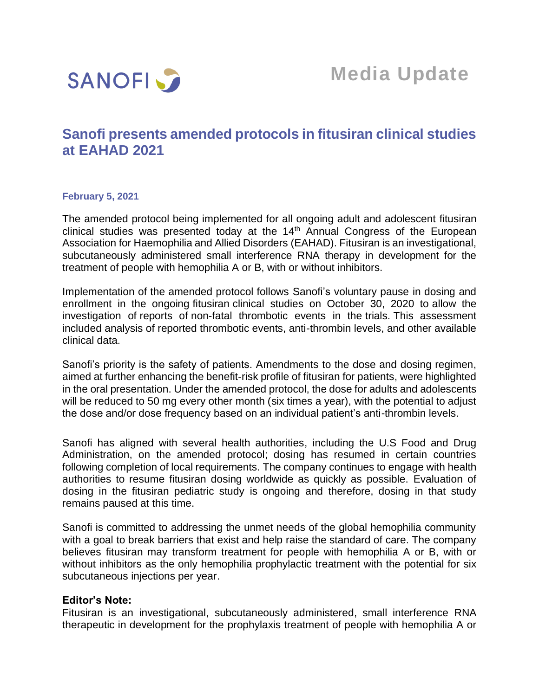

# **Sanofi presents amended protocols in fitusiran clinical studies at EAHAD 2021**

## **February 5, 2021**

The amended protocol being implemented for all ongoing adult and adolescent fitusiran clinical studies was presented today at the  $14<sup>th</sup>$  Annual Congress of the European Association for Haemophilia and Allied Disorders (EAHAD). Fitusiran is an investigational, subcutaneously administered small interference RNA therapy in development for the treatment of people with hemophilia A or B, with or without inhibitors.

Implementation of the amended protocol follows Sanofi's voluntary pause in dosing and enrollment in the ongoing fitusiran clinical studies on October 30, 2020 to allow the investigation of reports of non-fatal thrombotic events in the trials. This assessment included analysis of reported thrombotic events, anti-thrombin levels, and other available clinical data.

Sanofi's priority is the safety of patients. Amendments to the dose and dosing regimen, aimed at further enhancing the benefit-risk profile of fitusiran for patients, were highlighted in the oral presentation. Under the amended protocol, the dose for adults and adolescents will be reduced to 50 mg every other month (six times a year), with the potential to adjust the dose and/or dose frequency based on an individual patient's anti-thrombin levels.

Sanofi has aligned with several health authorities, including the U.S Food and Drug Administration, on the amended protocol; dosing has resumed in certain countries following completion of local requirements. The company continues to engage with health authorities to resume fitusiran dosing worldwide as quickly as possible. Evaluation of dosing in the fitusiran pediatric study is ongoing and therefore, dosing in that study remains paused at this time.

Sanofi is committed to addressing the unmet needs of the global hemophilia community with a goal to break barriers that exist and help raise the standard of care. The company believes fitusiran may transform treatment for people with hemophilia A or B, with or without inhibitors as the only hemophilia prophylactic treatment with the potential for six subcutaneous injections per year.

## **Editor's Note:**

Fitusiran is an investigational, subcutaneously administered, small interference RNA therapeutic in development for the prophylaxis treatment of people with hemophilia A or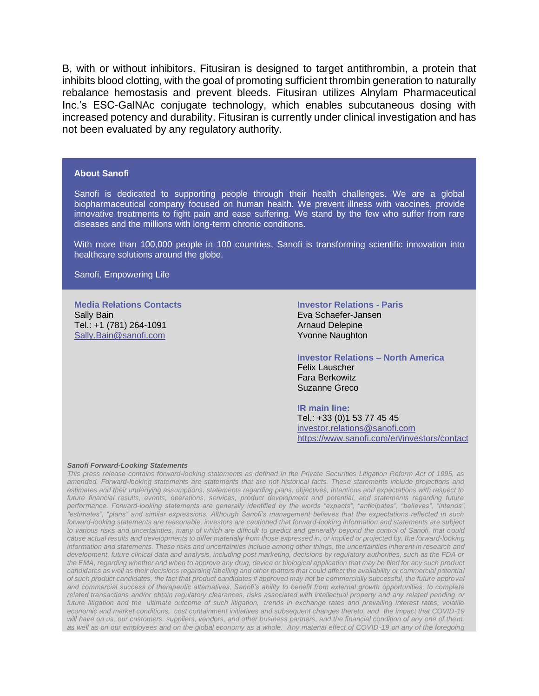B, with or without inhibitors. Fitusiran is designed to target antithrombin, a protein that inhibits blood clotting, with the goal of promoting sufficient thrombin generation to naturally rebalance hemostasis and prevent bleeds. Fitusiran utilizes Alnylam Pharmaceutical Inc.'s ESC-GalNAc conjugate technology, which enables subcutaneous dosing with increased potency and durability. Fitusiran is currently under clinical investigation and has not been evaluated by any regulatory authority.

#### **About Sanofi**

Sanofi is dedicated to supporting people through their health challenges. We are a global biopharmaceutical company focused on human health. We prevent illness with vaccines, provide innovative treatments to fight pain and ease suffering. We stand by the few who suffer from rare diseases and the millions with long-term chronic conditions.

With more than 100,000 people in 100 countries, Sanofi is transforming scientific innovation into healthcare solutions around the globe.

Sanofi, Empowering Life

**Media Relations Contacts** Sally Bain Tel.: +1 (781) 264-1091 [Sally.Bain@sanofi.com](mailto:Sally.Bain@sanofi.com)

### **Investor Relations - Paris** Eva Schaefer-Jansen Arnaud Delepine Yvonne Naughton

**Investor Relations – North America** Felix Lauscher Fara Berkowitz Suzanne Greco

**IR main line:** Tel.: +33 (0)1 53 77 45 45 [investor.relations@sanofi.com](mailto:investor.relations@sanofi.com) https://www.sanofi.com/en/investors/contact

#### *Sanofi Forward-Looking Statements*

*This press release contains forward-looking statements as defined in the Private Securities Litigation Reform Act of 1995, as amended. Forward-looking statements are statements that are not historical facts. These statements include projections and estimates and their underlying assumptions, statements regarding plans, objectives, intentions and expectations with respect to future financial results, events, operations, services, product development and potential, and statements regarding future performance. Forward-looking statements are generally identified by the words "expects", "anticipates", "believes", "intends", "estimates", "plans" and similar expressions. Although Sanofi's management believes that the expectations reflected in such forward-looking statements are reasonable, investors are cautioned that forward-looking information and statements are subject to various risks and uncertainties, many of which are difficult to predict and generally beyond the control of Sanofi, that could cause actual results and developments to differ materially from those expressed in, or implied or projected by, the forward-looking information and statements. These risks and uncertainties include among other things, the uncertainties inherent in research and development, future clinical data and analysis, including post marketing, decisions by regulatory authorities, such as the FDA or the EMA, regarding whether and when to approve any drug, device or biological application that may be filed for any such product candidates as well as their decisions regarding labelling and other matters that could affect the availability or commercial potential of such product candidates, the fact that product candidates if approved may not be commercially successful, the future approval and commercial success of therapeutic alternatives, Sanofi's ability to benefit from external growth opportunities, to complete related transactions and/or obtain regulatory clearances, risks associated with intellectual property and any related pending or future litigation and the ultimate outcome of such litigation, trends in exchange rates and prevailing interest rates, volatile economic and market conditions, cost containment initiatives and subsequent changes thereto, and the impact that COVID-19 will have on us, our customers, suppliers, vendors, and other business partners, and the financial condition of any one of them, as well as on our employees and on the global economy as a whole. Any material effect of COVID-19 on any of the foregoing*